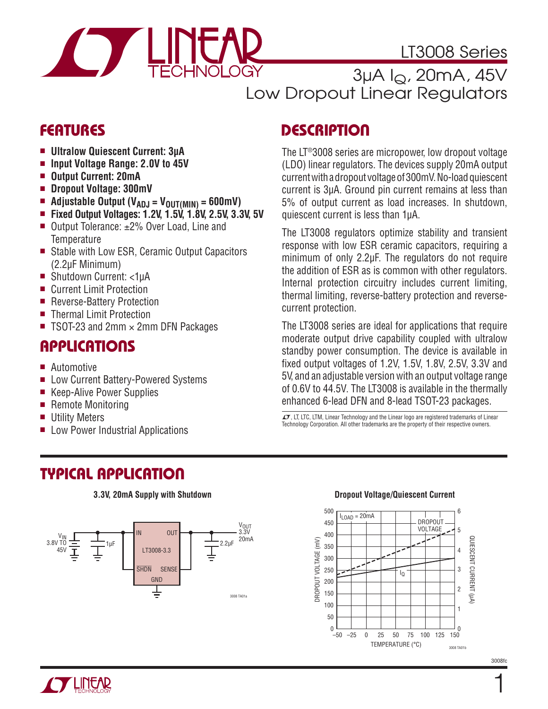

LT3008 Series

3µA IQ, 20mA, 45V Low Dropout Linear Regulators

### **FEATURES**

- **u** Ultralow Quiescent Current: 3μA
- Input Voltage Range: 2.0V to 45V
- Output Current: 20mA
- Dropout Voltage: 300mV
- Adjustable Output (V<sub>ADJ</sub> = V<sub>OUT(MIN)</sub> = 600mV)
- Fixed Output Voltages: 1.2V, 1.5V, 1.8V, 2.5V, 3.3V, 5V
- Output Tolerance:  $±2%$  Over Load, Line and **Temperature**
- Stable with Low ESR, Ceramic Output Capacitors (2.2μF Minimum)
- Shutdown Current: <1uA
- Current Limit Protection
- Reverse-Battery Protection
- Thermal Limit Protection
- TSOT-23 and 2mm  $\times$  2mm DFN Packages

### **APPLICATIONS**

- **n** Automotive
- Low Current Battery-Powered Systems
- Keep-Alive Power Supplies
- Remote Monitoring
- **Utility Meters**
- **E** Low Power Industrial Applications

# **TYPICAL APPLICATION**

#### **3.3V, 20mA Supply with Shutdown**



### **DESCRIPTION**

The LT®3008 series are micropower, low dropout voltage (LDO) linear regulators. The devices supply 20mA output current with a dropout voltage of 300mV. No-load quiescent current is 3μA. Ground pin current remains at less than 5% of output current as load increases. In shutdown, quiescent current is less than 1μA.

The LT3008 regulators optimize stability and transient response with low ESR ceramic capacitors, requiring a minimum of only 2.2μF. The regulators do not require the addition of ESR as is common with other regulators. Internal protection circuitry includes current limiting, thermal limiting, reverse-battery protection and reversecurrent protection.

The LT3008 series are ideal for applications that require moderate output drive capability coupled with ultralow standby power consumption. The device is available in fixed output voltages of 1.2V, 1.5V, 1.8V, 2.5V, 3.3V and 5V, and an adjustable version with an output voltage range of 0.6V to 44.5V. The LT3008 is available in the thermally enhanced 6-lead DFN and 8-lead TSOT-23 packages.

 $T$ , LT, LTC, LTM, Linear Technology and the Linear logo are registered trademarks of Linear Technology Corporation. All other trademarks are the property of their respective owners.



### **Dropout Voltage/Quiescent Current**

3008fc

1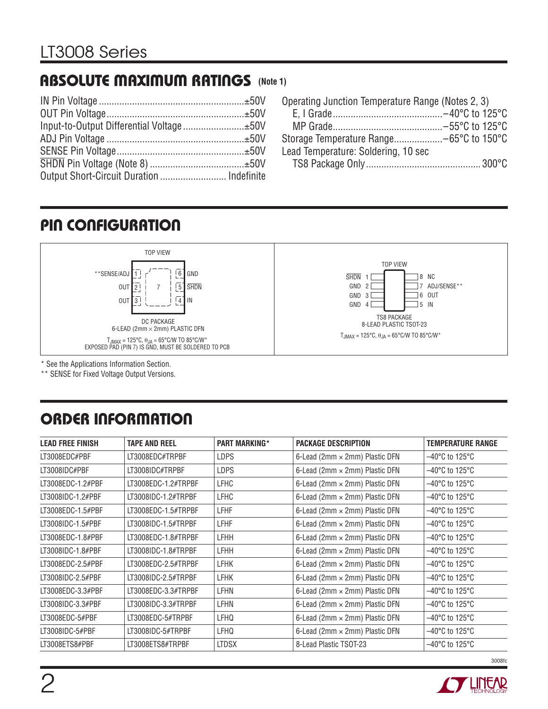### **ABSOLUTE MAXIMUM RATINGS (Note 1)**

| Output Short-Circuit Duration  Indefinite |  |
|-------------------------------------------|--|

| Operating Junction Temperature Range (Notes 2, 3) |  |
|---------------------------------------------------|--|
|                                                   |  |
|                                                   |  |
|                                                   |  |
| Lead Temperature: Soldering, 10 sec               |  |
|                                                   |  |

### **PIN CONFIGURATION**



\* See the Applications Information Section.

\*\* SENSE for Fixed Voltage Output Versions.

# **ORDER INFORMATION**

| <b>LEAD FREE FINISH</b> | <b>TAPE AND REEL</b> | <b>PART MARKING*</b> | <b>PACKAGE DESCRIPTION</b>            | <b>TEMPERATURE RANGE</b>            |
|-------------------------|----------------------|----------------------|---------------------------------------|-------------------------------------|
| LT3008EDC#PBF           | LT3008EDC#TRPBF      | <b>LDPS</b>          | 6-Lead (2mm $\times$ 2mm) Plastic DFN | $-40^{\circ}$ C to 125 $^{\circ}$ C |
| LT3008IDC#PBF           | LT3008IDC#TRPBF      | <b>LDPS</b>          | 6-Lead (2mm $\times$ 2mm) Plastic DFN | $-40^{\circ}$ C to 125 $^{\circ}$ C |
| LT3008EDC-1.2#PBF       | LT3008EDC-1.2#TRPBF  | <b>LFHC</b>          | 6-Lead (2mm × 2mm) Plastic DFN        | $-40^{\circ}$ C to 125°C            |
| LT3008IDC-1.2#PBF       | LT3008IDC-1.2#TRPBF  | <b>LFHC</b>          | 6-Lead (2mm $\times$ 2mm) Plastic DFN | $-40^{\circ}$ C to 125°C            |
| LT3008EDC-1.5#PBF       | LT3008EDC-1.5#TRPBF  | <b>LFHF</b>          | 6-Lead (2mm $\times$ 2mm) Plastic DFN | $-40^{\circ}$ C to 125°C            |
| LT3008IDC-1.5#PBF       | LT3008IDC-1.5#TRPBF  | <b>LFHF</b>          | 6-Lead (2mm $\times$ 2mm) Plastic DFN | $-40^{\circ}$ C to 125°C            |
| LT3008EDC-1.8#PBF       | LT3008EDC-1.8#TRPBF  | <b>LFHH</b>          | 6-Lead (2mm $\times$ 2mm) Plastic DFN | $-40^{\circ}$ C to 125 $^{\circ}$ C |
| LT3008IDC-1.8#PBF       | LT3008IDC-1.8#TRPBF  | <b>LFHH</b>          | 6-Lead (2mm $\times$ 2mm) Plastic DFN | $-40^{\circ}$ C to 125 $^{\circ}$ C |
| LT3008EDC-2.5#PBF       | LT3008EDC-2.5#TRPBF  | <b>LFHK</b>          | 6-Lead (2mm $\times$ 2mm) Plastic DFN | $-40^{\circ}$ C to 125 $^{\circ}$ C |
| LT3008IDC-2.5#PBF       | LT3008IDC-2.5#TRPBF  | <b>LFHK</b>          | 6-Lead (2mm × 2mm) Plastic DFN        | $-40^{\circ}$ C to 125°C            |
| LT3008EDC-3.3#PBF       | LT3008EDC-3.3#TRPBF  | LFHN                 | 6-Lead (2mm $\times$ 2mm) Plastic DFN | $-40^{\circ}$ C to 125°C            |
| LT3008IDC-3.3#PBF       | LT3008IDC-3.3#TRPBF  | LFHN                 | 6-Lead (2mm $\times$ 2mm) Plastic DFN | $-40^{\circ}$ C to 125 $^{\circ}$ C |
| LT3008EDC-5#PBF         | LT3008EDC-5#TRPBF    | LFHQ                 | 6-Lead (2mm × 2mm) Plastic DFN        | $-40^{\circ}$ C to 125 $^{\circ}$ C |
| LT3008IDC-5#PBF         | LT3008IDC-5#TRPBF    | LFHQ                 | 6-Lead (2mm × 2mm) Plastic DFN        | $-40^{\circ}$ C to 125 $^{\circ}$ C |
| LT3008ETS8#PBF          | LT3008ETS8#TRPBF     | <b>LTDSX</b>         | 8-Lead Plastic TSOT-23                | $-40^{\circ}$ C to 125°C            |

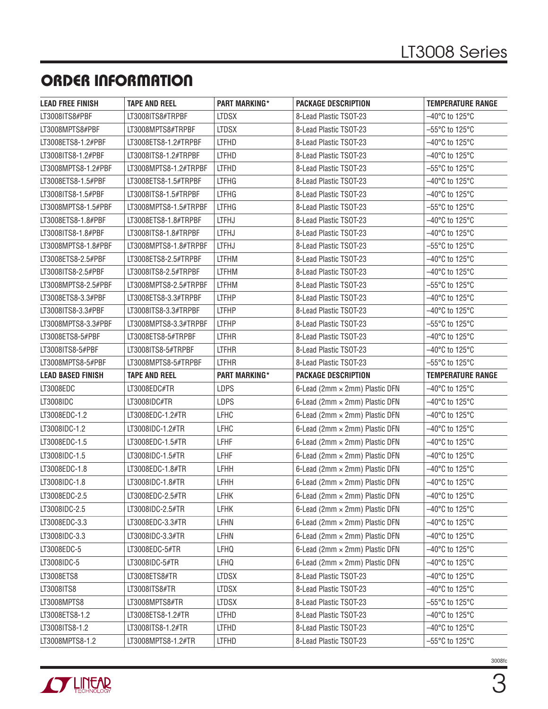# **ORDER INFORMATION**

| <b>LEAD FREE FINISH</b>  | <b>TAPE AND REEL</b>  | <b>PART MARKING*</b> | <b>PACKAGE DESCRIPTION</b>            | <b>TEMPERATURE RANGE</b>            |
|--------------------------|-----------------------|----------------------|---------------------------------------|-------------------------------------|
| LT3008ITS8#PBF           | LT3008ITS8#TRPBF      | <b>LTDSX</b>         | 8-Lead Plastic TSOT-23                | -40°C to 125°C                      |
| LT3008MPTS8#PBF          | LT3008MPTS8#TRPBF     | <b>LTDSX</b>         | 8-Lead Plastic TSOT-23                | $-55^{\circ}$ C to 125 $^{\circ}$ C |
| LT3008ETS8-1.2#PBF       | LT3008ETS8-1.2#TRPBF  | <b>LTFHD</b>         | 8-Lead Plastic TSOT-23                | -40°C to 125°C                      |
| LT3008ITS8-1.2#PBF       | LT3008ITS8-1.2#TRPBF  | <b>LTFHD</b>         | 8-Lead Plastic TSOT-23                | $-40^{\circ}$ C to 125 $^{\circ}$ C |
| LT3008MPTS8-1.2#PBF      | LT3008MPTS8-1.2#TRPBF | <b>LTFHD</b>         | 8-Lead Plastic TSOT-23                | $-55^{\circ}$ C to 125°C            |
| LT3008ETS8-1.5#PBF       | LT3008ETS8-1.5#TRPBF  | <b>LTFHG</b>         | 8-Lead Plastic TSOT-23                | $-40^{\circ}$ C to 125 $^{\circ}$ C |
| LT3008ITS8-1.5#PBF       | LT3008ITS8-1.5#TRPBF  | <b>LTFHG</b>         | 8-Lead Plastic TSOT-23                | –40°C to 125°C                      |
| LT3008MPTS8-1.5#PBF      | LT3008MPTS8-1.5#TRPBF | <b>LTFHG</b>         | 8-Lead Plastic TSOT-23                | $-55^{\circ}$ C to 125 $^{\circ}$ C |
| LT3008ETS8-1.8#PBF       | LT3008ETS8-1.8#TRPBF  | LTFHJ                | 8-Lead Plastic TSOT-23                | $-40^{\circ}$ C to 125 $^{\circ}$ C |
| LT3008ITS8-1.8#PBF       | LT3008ITS8-1.8#TRPBF  | <b>LTFHJ</b>         | 8-Lead Plastic TSOT-23                | $-40^{\circ}$ C to 125 $^{\circ}$ C |
| LT3008MPTS8-1.8#PBF      | LT3008MPTS8-1.8#TRPBF | <b>LTFHJ</b>         | 8-Lead Plastic TSOT-23                | $-55^{\circ}$ C to 125 $^{\circ}$ C |
| LT3008ETS8-2.5#PBF       | LT3008ETS8-2.5#TRPBF  | <b>LTFHM</b>         | 8-Lead Plastic TSOT-23                | $-40^{\circ}$ C to 125 $^{\circ}$ C |
| LT3008ITS8-2.5#PBF       | LT3008ITS8-2.5#TRPBF  | <b>LTFHM</b>         | 8-Lead Plastic TSOT-23                | $-40^{\circ}$ C to 125 $^{\circ}$ C |
| LT3008MPTS8-2.5#PBF      | LT3008MPTS8-2.5#TRPBF | <b>LTFHM</b>         | 8-Lead Plastic TSOT-23                | $-55^{\circ}$ C to 125 $^{\circ}$ C |
| LT3008ETS8-3.3#PBF       | LT3008ETS8-3.3#TRPBF  | <b>LTFHP</b>         | 8-Lead Plastic TSOT-23                | $-40^{\circ}$ C to 125 $^{\circ}$ C |
| LT3008ITS8-3.3#PBF       | LT3008ITS8-3.3#TRPBF  | <b>LTFHP</b>         | 8-Lead Plastic TSOT-23                | $-40^{\circ}$ C to 125 $^{\circ}$ C |
| LT3008MPTS8-3.3#PBF      | LT3008MPTS8-3.3#TRPBF | <b>LTFHP</b>         | 8-Lead Plastic TSOT-23                | $-55^{\circ}$ C to 125 $^{\circ}$ C |
| LT3008ETS8-5#PBF         | LT3008ETS8-5#TRPBF    | <b>LTFHR</b>         | 8-Lead Plastic TSOT-23                | -40°C to 125°C                      |
| LT3008ITS8-5#PBF         | LT3008ITS8-5#TRPBF    | <b>LTFHR</b>         | 8-Lead Plastic TSOT-23                | $-40^{\circ}$ C to 125 $^{\circ}$ C |
| LT3008MPTS8-5#PBF        | LT3008MPTS8-5#TRPBF   | <b>LTFHR</b>         | 8-Lead Plastic TSOT-23                | $-55^{\circ}$ C to 125 $^{\circ}$ C |
| <b>LEAD BASED FINISH</b> | <b>TAPE AND REEL</b>  | <b>PART MARKING*</b> | <b>PACKAGE DESCRIPTION</b>            | <b>TEMPERATURE RANGE</b>            |
| LT3008EDC                | LT3008EDC#TR          | <b>LDPS</b>          | 6-Lead (2mm × 2mm) Plastic DFN        | –40°C to 125°C                      |
| LT3008IDC                | LT3008IDC#TR          | <b>LDPS</b>          | 6-Lead (2mm × 2mm) Plastic DFN        | -40°C to 125°C                      |
| LT3008EDC-1.2            | LT3008EDC-1.2#TR      | <b>LFHC</b>          | 6-Lead (2mm × 2mm) Plastic DFN        | –40°C to 125°C                      |
| LT3008IDC-1.2            | LT3008IDC-1.2#TR      | <b>LFHC</b>          | 6-Lead (2mm × 2mm) Plastic DFN        | -40°C to 125°C                      |
| LT3008EDC-1.5            | LT3008EDC-1.5#TR      | <b>LFHF</b>          | 6-Lead (2mm $\times$ 2mm) Plastic DFN | –40°C to 125°C                      |
| LT3008IDC-1.5            | LT3008IDC-1.5#TR      | <b>LFHF</b>          | 6-Lead (2mm × 2mm) Plastic DFN        | -40°C to 125°C                      |
| LT3008EDC-1.8            | LT3008EDC-1.8#TR      | <b>LFHH</b>          | 6-Lead (2mm × 2mm) Plastic DFN        | –40°C to 125°C                      |
| LT3008IDC-1.8            | LT3008IDC-1.8#TR      | LFHH                 | 6-Lead (2mm × 2mm) Plastic DFN        | -40°C to 125°C                      |
| LT3008EDC-2.5            | LT3008EDC-2.5#TR      | LFHK                 | 6-Lead (2mm $\times$ 2mm) Plastic DFN | -40°C to 125°C                      |
| LT3008IDC-2.5            | LT3008IDC-2.5#TR      | <b>LFHK</b>          | 6-Lead (2mm $\times$ 2mm) Plastic DFN | -40°C to 125°C                      |
| LT3008EDC-3.3            | LT3008EDC-3.3#TR      | LFHN                 | 6-Lead (2mm $\times$ 2mm) Plastic DFN | -40°C to 125°C                      |
| LT3008IDC-3.3            | LT3008IDC-3.3#TR      | LFHN                 | 6-Lead (2mm × 2mm) Plastic DFN        | $-40^{\circ}$ C to 125 $^{\circ}$ C |
| LT3008EDC-5              | LT3008EDC-5#TR        | LFHQ                 | 6-Lead (2mm × 2mm) Plastic DFN        | $-40^{\circ}$ C to 125 $^{\circ}$ C |
| LT3008IDC-5              | LT3008IDC-5#TR        | LFHQ                 | 6-Lead (2mm × 2mm) Plastic DFN        | -40°C to 125°C                      |
| LT3008ETS8               | LT3008ETS8#TR         | <b>LTDSX</b>         | 8-Lead Plastic TSOT-23                | -40°C to 125°C                      |
| LT3008ITS8               | LT3008ITS8#TR         | <b>LTDSX</b>         | 8-Lead Plastic TSOT-23                | -40°C to 125°C                      |
| LT3008MPTS8              |                       | <b>LTDSX</b>         | 8-Lead Plastic TSOT-23                | $-55^{\circ}$ C to 125 $^{\circ}$ C |
| LT3008ETS8-1.2           | LT3008MPTS8#TR        |                      |                                       |                                     |
|                          | LT3008ETS8-1.2#TR     | <b>LTFHD</b>         | 8-Lead Plastic TSOT-23                | $-40^{\circ}$ C to 125 $^{\circ}$ C |
| LT3008ITS8-1.2           | LT3008ITS8-1.2#TR     | <b>LTFHD</b>         | 8-Lead Plastic TSOT-23                | $-40^{\circ}$ C to 125 $^{\circ}$ C |

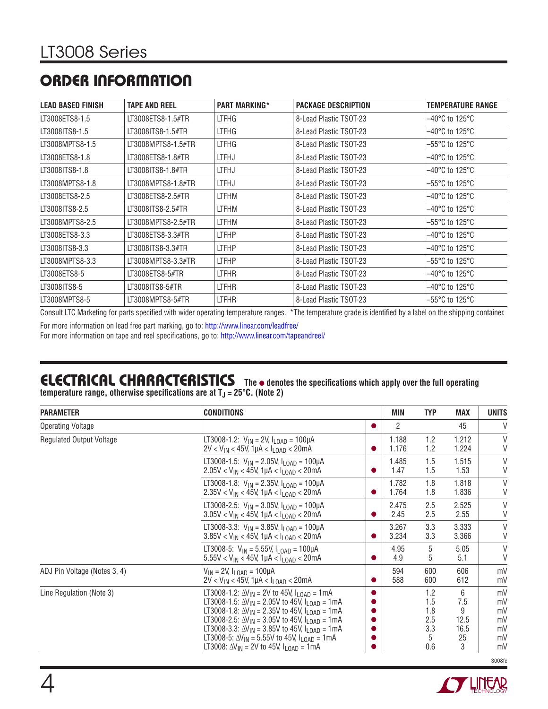### **ORDER INFORMATION**

| <b>LEAD BASED FINISH</b> | <b>TAPE AND REEL</b> | <b>PART MARKING*</b> | <b>PACKAGE DESCRIPTION</b> | <b>TEMPERATURE RANGE</b>            |
|--------------------------|----------------------|----------------------|----------------------------|-------------------------------------|
| LT3008ETS8-1.5           | LT3008ETS8-1.5#TR    | LTFHG                | 8-Lead Plastic TSOT-23     | $-40^{\circ}$ C to 125°C            |
| LT3008ITS8-1.5           | LT3008ITS8-1.5#TR    | <b>LTFHG</b>         | 8-Lead Plastic TSOT-23     | $-40^{\circ}$ C to 125 $^{\circ}$ C |
| LT3008MPTS8-1.5          | LT3008MPTS8-1.5#TR   | <b>LTFHG</b>         | 8-Lead Plastic TSOT-23     | $-55^{\circ}$ C to 125°C            |
| LT3008ETS8-1.8           | LT3008ETS8-1.8#TR    | <b>LTFHJ</b>         | 8-Lead Plastic TSOT-23     | $-40^{\circ}$ C to 125°C            |
| LT3008ITS8-1.8           | LT3008ITS8-1.8#TR    | <b>LTFHJ</b>         | 8-Lead Plastic TSOT-23     | $-40^{\circ}$ C to 125°C            |
| LT3008MPTS8-1.8          | LT3008MPTS8-1.8#TR   | <b>LTFHJ</b>         | 8-Lead Plastic TSOT-23     | $-55^{\circ}$ C to 125 $^{\circ}$ C |
| LT3008ETS8-2.5           | LT3008ETS8-2.5#TR    | <b>LTFHM</b>         | 8-Lead Plastic TSOT-23     | $-40^{\circ}$ C to 125°C            |
| LT3008ITS8-2.5           | LT3008ITS8-2.5#TR    | LTFHM                | 8-Lead Plastic TSOT-23     | $-40^{\circ}$ C to 125°C            |
| LT3008MPTS8-2.5          | LT3008MPTS8-2.5#TR   | <b>LTFHM</b>         | 8-Lead Plastic TSOT-23     | $-55^{\circ}$ C to 125°C            |
| LT3008ETS8-3.3           | LT3008ETS8-3.3#TR    | <b>LTFHP</b>         | 8-Lead Plastic TSOT-23     | $-40^{\circ}$ C to 125°C            |
| LT3008ITS8-3.3           | LT3008ITS8-3.3#TR    | <b>LTFHP</b>         | 8-Lead Plastic TSOT-23     | $-40^{\circ}$ C to 125 $^{\circ}$ C |
| LT3008MPTS8-3.3          | LT3008MPTS8-3.3#TR   | <b>LTFHP</b>         | 8-Lead Plastic TSOT-23     | $-55^{\circ}$ C to 125 $^{\circ}$ C |
| LT3008ETS8-5             | LT3008ETS8-5#TR      | <b>LTFHR</b>         | 8-Lead Plastic TSOT-23     | $-40^{\circ}$ C to 125 $^{\circ}$ C |
| LT3008ITS8-5             | LT3008ITS8-5#TR      | <b>LTFHR</b>         | 8-Lead Plastic TSOT-23     | $-40^{\circ}$ C to 125 $^{\circ}$ C |
| LT3008MPTS8-5            | LT3008MPTS8-5#TR     | <b>LTFHR</b>         | 8-Lead Plastic TSOT-23     | $-55^{\circ}$ C to 125 $^{\circ}$ C |

Consult LTC Marketing for parts specified with wider operating temperature ranges. \*The temperature grade is identified by a label on the shipping container.

For more information on lead free part marking, go to: http://www.linear.com/leadfree/

For more information on tape and reel specifications, go to: http://www.linear.com/tapeandreel/

# **ELECTRICAL CHARACTERISTICS** The  $\bullet$  denotes the specifications which apply over the full operating

temperature range, otherwise specifications are at T<sub>J</sub> = 25°C. (Note 2)

| <b>PARAMETER</b>                | <b>CONDITIONS</b>                                                                                                                                                                                                                                                                                                                                                                                                                                                             |   |                | <b>TYP</b>                                  | MAX                                      | <b>UNITS</b>                           |
|---------------------------------|-------------------------------------------------------------------------------------------------------------------------------------------------------------------------------------------------------------------------------------------------------------------------------------------------------------------------------------------------------------------------------------------------------------------------------------------------------------------------------|---|----------------|---------------------------------------------|------------------------------------------|----------------------------------------|
| <b>Operating Voltage</b>        |                                                                                                                                                                                                                                                                                                                                                                                                                                                                               |   | 2              |                                             | 45                                       | V                                      |
| <b>Regulated Output Voltage</b> | LT3008-1.2: $V_{IN} = 2V$ , $I_{LOAD} = 100 \mu A$<br>$2V < V_{IN} < 45V$ , 1µA < $I_{LOAD} < 20mA$                                                                                                                                                                                                                                                                                                                                                                           |   | 1.188<br>1.176 | 1.2<br>1.2                                  | 1.212<br>1.224                           | V<br>V                                 |
|                                 | LT3008-1.5: $V_{IN}$ = 2.05V, $I_{I \cap AD}$ = 100µA<br>$2.05$ V < V <sub>IN</sub> < 45V, 1µA < I <sub>LOAD</sub> < 20mA                                                                                                                                                                                                                                                                                                                                                     |   | 1.485<br>1.47  | 1.5<br>1.5                                  | 1.515<br>1.53                            | V<br>V                                 |
|                                 | LT3008-1.8: $V_{IN} = 2.35V$ , $I_{LOAD} = 100\mu A$<br>$2.35$ V < V <sub>IN</sub> < 45V, 1µA < I <sub>LOAD</sub> < 20mA                                                                                                                                                                                                                                                                                                                                                      |   | 1.782<br>1.764 | 1.8<br>1.8                                  | 1.818<br>1.836                           | V<br>V                                 |
|                                 | LT3008-2.5: $V_{IN} = 3.05V$ , $I_{LOAD} = 100\mu A$<br>$3.05$ V < V <sub>IN</sub> < 45V, 1µA < I <sub>LOAD</sub> < 20mA                                                                                                                                                                                                                                                                                                                                                      | 0 | 2.475<br>2.45  | 2.5<br>2.5                                  | 2.525<br>2.55                            | V<br>V                                 |
|                                 | LT3008-3.3: $V_{IN} = 3.85V$ , $I_{LOAD} = 100\mu A$<br>$3.85$ V < V <sub>IN</sub> < 45V, 1µA < I <sub>LOAD</sub> < 20mA                                                                                                                                                                                                                                                                                                                                                      |   | 3.267<br>3.234 | 3.3<br>3.3                                  | 3.333<br>3.366                           | V<br>V                                 |
|                                 | LT3008-5: $V_{IN}$ = 5.55V, $I_{LOAD}$ = 100µA<br>$5.55V < V_{IN} < 45V$ , 1µA < $I_{LOAD} < 20mA$                                                                                                                                                                                                                                                                                                                                                                            |   | 4.95<br>4.9    | 5<br>5                                      | 5.05<br>5.1                              | $\vee$<br>V                            |
| ADJ Pin Voltage (Notes 3, 4)    | $V_{IN}$ = 2V, $I_{LOAD}$ = 100µA<br>$2V < V_{IN} < 45V$ , 1µA < I <sub>LOAD</sub> < 20mA                                                                                                                                                                                                                                                                                                                                                                                     |   | 594<br>588     | 600<br>600                                  | 606<br>612                               | mV<br>mV                               |
| Line Regulation (Note 3)        | LT3008-1.2: $\Delta V_{1N}$ = 2V to 45V, $I_{1OAD}$ = 1mA<br>LT3008-1.5: $\Delta V_{\text{IN}}$ = 2.05V to 45V, $I_{\text{LOAD}}$ = 1mA<br>LT3008-1.8: $\Delta V_{IN}$ = 2.35V to 45V, $I_{LOAD}$ = 1mA<br>LT3008-2.5: $\Delta V_{IN}$ = 3.05V to 45V, $I_{LOAD}$ = 1mA<br>LT3008-3.3: $\Delta V_{\text{IN}}$ = 3.85V to 45V, $I_{\text{LOAD}}$ = 1mA<br>LT3008-5: $\Delta V_{IN}$ = 5.55V to 45V, $I_{I OAD}$ = 1mA<br>LT3008: $\Delta V_{IN}$ = 2V to 45V, $I_{LOAD}$ = 1mA |   |                | 1.2<br>1.5<br>1.8<br>2.5<br>3.3<br>5<br>0.6 | 6<br>7.5<br>9<br>12.5<br>16.5<br>25<br>3 | mV<br>mV<br>mV<br>mV<br>mV<br>mV<br>mV |
|                                 |                                                                                                                                                                                                                                                                                                                                                                                                                                                                               |   |                |                                             |                                          | 3008fc                                 |

**STATEAR**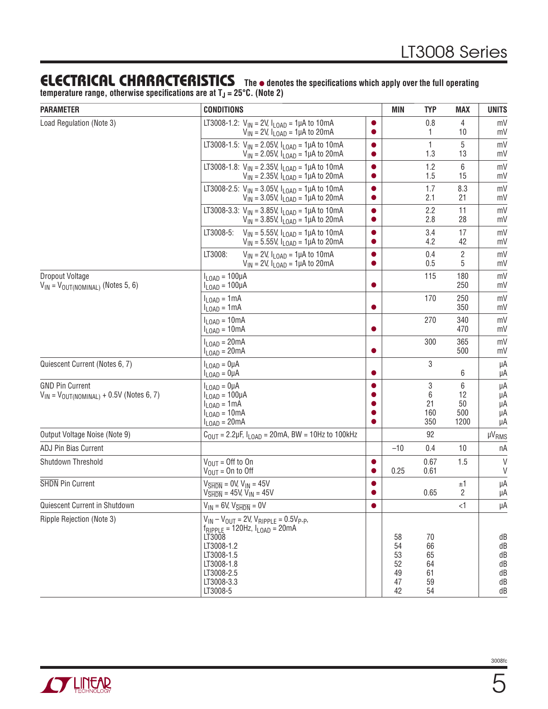### **ELECTRICAL CHARACTERISTICS** The  $\bullet$  denotes the specifications which apply over the full operating

temperature range, otherwise specifications are at T<sub>J</sub> = 25°C. (Note 2)

| <b>PARAMETER</b>                                                            | <b>CONDITIONS</b>                                                                                                                                                                              |                        | <b>MIN</b>                             | <b>TYP</b>                             | MAX                          | <b>UNITS</b>                           |
|-----------------------------------------------------------------------------|------------------------------------------------------------------------------------------------------------------------------------------------------------------------------------------------|------------------------|----------------------------------------|----------------------------------------|------------------------------|----------------------------------------|
| Load Regulation (Note 3)                                                    | LT3008-1.2: $V_{IN} = 2V$ , $I_{LOAD} = 1\mu A$ to 10mA<br>$V_{IN}$ = 2V, $I_{LOAD}$ = 1µA to 20mA                                                                                             |                        |                                        | 0.8<br>1                               | 4<br>10                      | mV<br>mV                               |
|                                                                             | LT3008-1.5: $V_{IN}$ = 2.05V, $I_{LOAD}$ = 1µA to 10mA<br>$V_{IN}$ = 2.05V, $I_{LOAD}$ = 1µA to 20mA                                                                                           | O                      |                                        | $\mathbf{1}$<br>1.3                    | 5<br>13                      | mV<br>mV                               |
|                                                                             | LT3008-1.8: $V_{IN} = 2.35V$ , $I_{LOAD} = 1\mu A$ to 10mA<br>$V_{IN}$ = 2.35V, $I_{LOAD}$ = 1µA to 20mA                                                                                       | $\bullet$              |                                        | 1.2<br>1.5                             | 6<br>15                      | mV<br>mV                               |
|                                                                             | LT3008-2.5: $V_{IN}$ = 3.05V, $I_{LOAD}$ = 1µA to 10mA<br>$V_{IN}$ = 3.05V, $I_{LOAD}$ = 1µA to 20mA                                                                                           | $\bullet$              |                                        | 1.7<br>2.1                             | 8.3<br>21                    | mV<br>mV                               |
|                                                                             | LT3008-3.3: $V_{IN}$ = 3.85V, $I_{LOAD}$ = 1µA to 10mA<br>$V_{IN}$ = 3.85V, $I_{LOAD}$ = 1µA to 20mA                                                                                           | $\bullet$<br>0         |                                        | 2.2<br>2.8                             | 11<br>28                     | mV<br>mV                               |
|                                                                             | LT3008-5:<br>$V_{IN}$ = 5.55V, $I_{LOAD}$ = 1µA to 10mA<br>$V_{IN}$ = 5.55V, $I_{LOAD}$ = 1µA to 20mA                                                                                          | $\bullet$<br>0         |                                        | 3.4<br>4.2                             | 17<br>42                     | mV<br>mV                               |
|                                                                             | LT3008:<br>$V_{IN}$ = 2V, $I_{LOAD}$ = 1µA to 10mA<br>$V_{IN}$ = 2V, $I_{LOAD}$ = 1µA to 20mA                                                                                                  | $\bullet$<br>$\bullet$ |                                        | 0.4<br>0.5                             | $\overline{\mathbf{2}}$<br>5 | mV<br>mV                               |
| Dropout Voltage<br>$V_{IN} = V_{OUT(NOMINAL)}$ (Notes 5, 6)                 | $I_{LOAD} = 100 \mu A$<br>$I_{\text{LOAD}} = 100 \mu A$                                                                                                                                        | $\bullet$              |                                        | 115                                    | 180<br>250                   | mV<br>mV                               |
|                                                                             | $I_{\text{LOAD}} = 1 \text{mA}$<br>$I_{\text{LOAD}} = 1 \text{mA}$                                                                                                                             | 0                      |                                        | 170                                    | 250<br>350                   | mV<br>mV                               |
|                                                                             | $I_{\text{LOAD}} = 10 \text{mA}$<br>$I_{LOAD} = 10mA$                                                                                                                                          | 0                      |                                        | 270                                    | 340<br>470                   | mV<br>mV                               |
|                                                                             | $I_{\text{LOAD}} = 20 \text{mA}$<br>$I_{\text{LOAD}} = 20 \text{mA}$                                                                                                                           |                        |                                        | 300                                    | 365<br>500                   | mV<br>mV                               |
| Quiescent Current (Notes 6, 7)                                              | $I_{\text{LOAD}} = 0 \mu A$<br>$I_{LOAD} = 0 \mu A$                                                                                                                                            |                        |                                        | 3                                      | 6                            | μA<br>μA                               |
| <b>GND Pin Current</b><br>$V_{IN}$ = $V_{OUT(NOMINAL)}$ + 0.5V (Notes 6, 7) | $I_{LOAD} = 0 \mu A$<br>$I_{LOAD} = 100 \mu A$<br>$I_{\text{LOAD}} = 1 \text{mA}$<br>$I_{\text{LOAD}} = 10 \text{mA}$<br>$I_{LOAD} = 20mA$                                                     |                        |                                        | 3<br>6<br>21<br>160<br>350             | 6<br>12<br>50<br>500<br>1200 | μA<br>μA<br>μA<br>μA<br>μA             |
| Output Voltage Noise (Note 9)                                               | $C_{\text{OUT}} = 2.2 \mu F$ , $I_{\text{LOAD}} = 20 \text{mA}$ , BW = 10Hz to 100kHz                                                                                                          |                        |                                        | 92                                     |                              | <b>µVRMS</b>                           |
| ADJ Pin Bias Current                                                        |                                                                                                                                                                                                |                        | $-10$                                  | 0.4                                    | 10                           | nA                                     |
| Shutdown Threshold                                                          | $V_{OIII} =$ Off to On<br>$V_{\text{OUT}} = 0n$ to Off                                                                                                                                         |                        | 0.25                                   | 0.67<br>0.61                           | 1.5                          | $\vee$<br>V                            |
| SHDN Pin Current                                                            | $V\overline{\text{SHDN}} = 0$ V, V <sub>IN</sub> = 45V<br>$V_{\overline{\text{SHDN}}}$ = 45V, V <sub>IN</sub> = 45V                                                                            |                        |                                        | 0.65                                   | ±1<br>2                      | μA<br>μA                               |
| Quiescent Current in Shutdown                                               | $V_{IN} = 6V$ , $V_{\overline{SHDN}} = 0V$                                                                                                                                                     |                        |                                        |                                        | $\leq$ 1                     | μA                                     |
| Ripple Rejection (Note 3)                                                   | $V_{IN} - V_{OUT} = 2V$ , $V_{RIPPLE} = 0.5V_{P-P}$ ,<br>$f_{RIPPI F}$ = 120Hz, $I_{I OAD}$ = 20mA<br>LT3008<br>LT3008-1.2<br>LT3008-1.5<br>LT3008-1.8<br>LT3008-2.5<br>LT3008-3.3<br>LT3008-5 |                        | 58<br>54<br>53<br>52<br>49<br>47<br>42 | 70<br>66<br>65<br>64<br>61<br>59<br>54 |                              | dB<br>dB<br>dB<br>dB<br>dB<br>dB<br>dB |

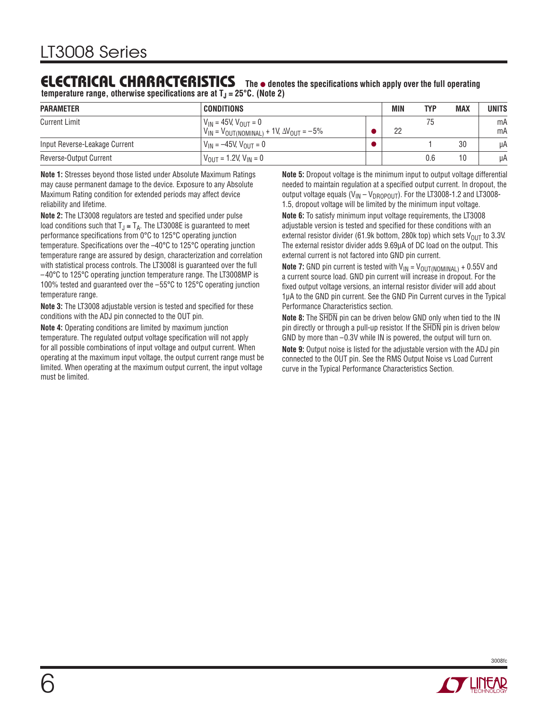### **ELECTRICAL CHARACTERISTICS** The  $\bullet$  denotes the specifications which apply over the full operating

**temperature range, otherwise specifications are at**  $T<sub>J</sub> = 25°C$ **. (Note 2)** 

| <b>PARAMETER</b>              | <b>CONDITIONS</b>                                                                        | <b>MIN</b> | <b>TYP</b> | <b>MAX</b> | <b>UNITS</b> |
|-------------------------------|------------------------------------------------------------------------------------------|------------|------------|------------|--------------|
| <b>Current Limit</b>          | $V_{IN}$ = 45V, $V_{OUT}$ = 0<br>$V_{IN} = V_{OUT(NOMINAL)} + 1V, \Delta V_{OUT} = -5\%$ | 22         | 75         |            | mA<br>mA     |
| Input Reverse-Leakage Current | $V_{IN} = -45V, V_{OUT} = 0$                                                             |            |            | 30         | μA           |
| Reverse-Output Current        | $V_{OIII}$ = 1.2V, $V_{IN}$ = 0                                                          |            | 0.6        | 10         | μA           |

**Note 1:** Stresses beyond those listed under Absolute Maximum Ratings may cause permanent damage to the device. Exposure to any Absolute Maximum Rating condition for extended periods may affect device reliability and lifetime.

**Note 2:** The LT3008 regulators are tested and specified under pulse load conditions such that  $T_J \cong T_A$ . The LT3008E is guaranteed to meet performance specifications from 0°C to 125°C operating junction temperature. Specifications over the  $-40^{\circ}$ C to 125 $^{\circ}$ C operating junction temperature range are assured by design, characterization and correlation with statistical process controls. The LT3008I is guaranteed over the full –40°C to 125°C operating junction temperature range. The LT3008MP is 100% tested and guaranteed over the –55°C to 125°C operating junction temperature range.

**Note 3:** The LT3008 adjustable version is tested and specified for these conditions with the ADJ pin connected to the OUT pin.

**Note 4:** Operating conditions are limited by maximum junction temperature. The regulated output voltage specification will not apply for all possible combinations of input voltage and output current. When operating at the maximum input voltage, the output current range must be limited. When operating at the maximum output current, the input voltage must be limited.

**Note 5:** Dropout voltage is the minimum input to output voltage differential needed to maintain regulation at a specified output current. In dropout, the output voltage equals  $(V_{IN} - V_{DROPOUT})$ . For the LT3008-1.2 and LT3008-1.5, dropout voltage will be limited by the minimum input voltage.

**Note 6:** To satisfy minimum input voltage requirements, the LT3008 adjustable version is tested and specified for these conditions with an external resistor divider (61.9k bottom, 280k top) which sets  $V_{\text{OUT}}$  to 3.3V. The external resistor divider adds 9.69μA of DC load on the output. This external current is not factored into GND pin current.

**Note 7:** GND pin current is tested with  $V_{IN} = V_{OUT(NOMINAL)} + 0.55V$  and a current source load. GND pin current will increase in dropout. For the fixed output voltage versions, an internal resistor divider will add about 1μA to the GND pin current. See the GND Pin Current curves in the Typical Performance Characteristics section.

**Note 8:** The SHDN pin can be driven below GND only when tied to the IN pin directly or through a pull-up resistor. If the SHDN pin is driven below GND by more than –0.3V while IN is powered, the output will turn on.

**Note 9:** Output noise is listed for the adjustable version with the ADJ pin connected to the OUT pin. See the RMS Output Noise vs Load Current curve in the Typical Performance Characteristics Section.

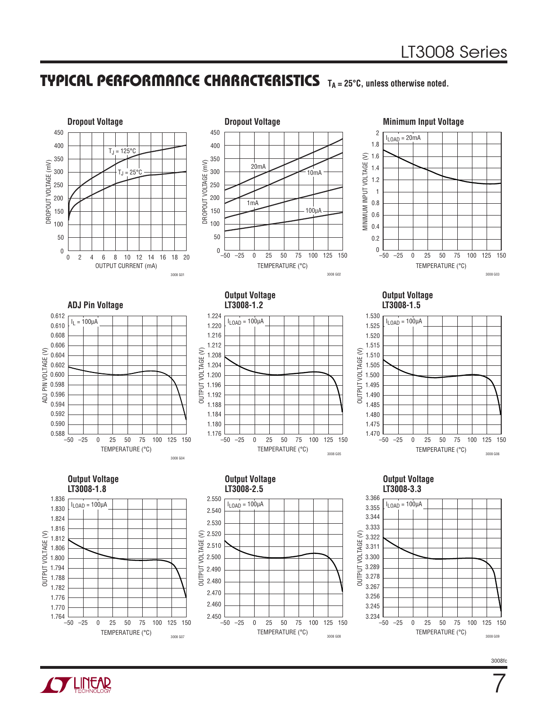



7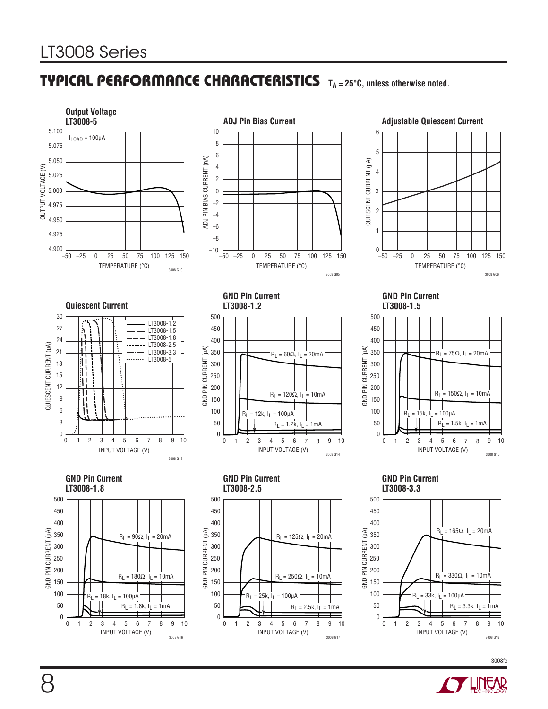

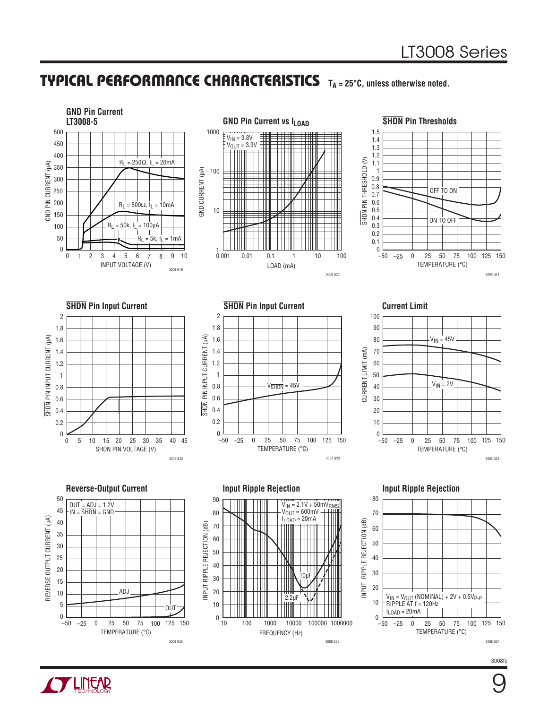**GND Pin Current LT3008-5 GND Pin Current vs ILOAD SHDN Pin Thresholds**1000 500 1.5  $V_{\text{IN}} = 3.8V$ 1.4 450  $\rm V_{\rm OUT}$  = 3.3V 1.3  $\pm$ 400 ─────── 1.2 SHON PIN THRESHOLD (V)  $R_L$  = 250Ω,  $I_L$  = 20mA SHDN PIN THRESHOLD (V) GND PIN CURRENT (μA) 1.1 350 GND CURRENT (µA) 100 GND CURRENT (μA) 1 0.9 300 0.8 OFF TO ON 250 0.7  $0.6$ 200  $R_L$  = 500Ω,  $I_L$  = 10mA 10 0.5 150 0.4 ON TO OFF  $R_L = 50k$ ,  $I_L = 100 \mu A$ 0.3 100 0.2 50  $R_L$  = 5k,  $I_L$  = 1mA 0.1 0 0 1 0.001 0.01 0.1 1 10 100 –50 0 25 50 75  $\theta$ 1 2 3 4 5 6 7 8 9 10 2 3 4 5 6 –25 25 50 100 125 150 INPUT VOLTAGE (V) TEMPERATURE (°C) LOAD (mA) 3008 G19 3008 G20 3008 G21 **SHDN Pin Input Current SHDN Pin Input Current Current Limit** 2 2 100 1.8 90 1.8 SHDN PIN INPUT CURRENT (µA) PIN INPUT CURRENT (µA) SHDN PIN INPUT CURRENT (μA) SHDN PIN INPUT CURRENT (μA) 1.6 80  $V_{IN} = 45V$ 1.6 1.4 CURRENT LIMIT (mA) 70 1.4 CURRENT LIMIT (mA) 1.2 60 1.2 1 50 1  $V_{IN} = 2V$  $V<sub>SHDN</sub> = 45V$ 0.8 40 0.8 0.6 30 0.6 **SHDN** 0.4 20 0.4 0.2 10 0.2  $\overline{0}$  $_{-50}^{0}$ 0 5 10 15 20 25 30 35 40 45 –50  $-25$  0 25 50 75 100 125 150 0 25 75  $-25$  0 25 50 75 100 125 150 10 20 30 0 SHDN PIN VOLTAGE (V) TEMPERATURE (°C) TEMPERATURE (°C) 3008 G23 3008 G24 3008 G22 **Reverse-Output Current Input Ripple Rejection Input Ripple Rejection** 50 80 90  $V_{IN} = 2.1V + 50mV_{RM}$ OUT = ADJ = 1.2V IN = SHDN = GND 45  $V_{OUT} = 600$ mV 80 70 REVERSE OUTPUT CURRENT (µA) REVERSE OUTPUT CURRENT (μA)  $I_{\text{LOAD}} = 20 \text{mA}$ 40 INPUT RIPPLE REJECTION (dB) 60 INPUT RIPPLE REJECTION (dB) INPUT RIPPLE REJECTION (dB) 70 35 60 50 30 50 25 40 40 20  $\Box$ 30 10μF 30 15 20 20 10 ADJ 2.2μF VIN = VOUT (NOMINAL) + 2V + 0.5VP-P RIPPLE AT f = 120Hz ILOAD = 20mA 10 5 10 **OUT**  $_{-50}^{0}$  $_{-50}^{0}$ 0 10 100 1000 10000 1000000 100000 –50 0 –25 25 50 75 100 125 150 –50 0 –25 25 50 75 100 125 150

FREQUENCY (Hz)

3008 G26



3008 G25

TEMPERATURE (°C)

3008 G27

9

TEMPERATURE (°C)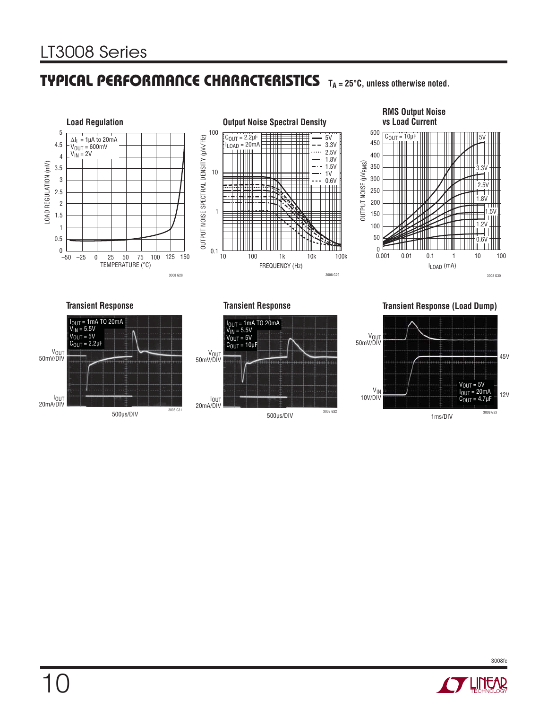

#### **RMS Output Noise vs Load Current**



#### **Transient Response**



500μs/DIV

**Transient Response**



**Transient Response (Load Dump)**



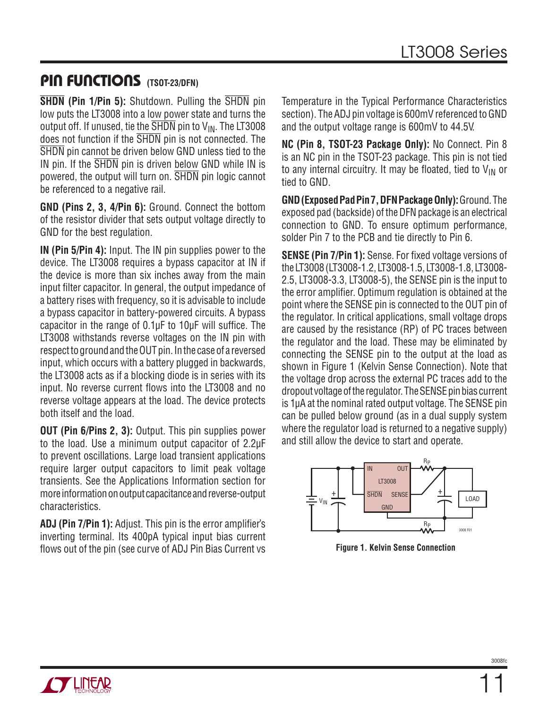### **PIN FUNCTIONS (TSOT-23/DFN)**

**SHDN (Pin 1/Pin 5):** Shutdown. Pulling the SHDN pin low puts the LT3008 into a low power state and turns the output off. If unused, tie the  $\overline{\text{SHDN}}$  pin to  $\mathsf{V}_{\text{IN}}$ . The LT3008 does not function if the **SHDN** pin is not connected. The SHDN pin cannot be driven below GND unless tied to the IN pin. If the SHDN pin is driven below GND while IN is powered, the output will turn on. SHDN pin logic cannot be referenced to a negative rail.

**GND (Pins 2, 3, 4/Pin 6):** Ground. Connect the bottom of the resistor divider that sets output voltage directly to GND for the best regulation.

**IN (Pin 5/Pin 4):** Input. The IN pin supplies power to the device. The LT3008 requires a bypass capacitor at IN if the device is more than six inches away from the main input filter capacitor. In general, the output impedance of a battery rises with frequency, so it is advisable to include a bypass capacitor in battery-powered circuits. A bypass capacitor in the range of  $0.1\mu$ F to  $10\mu$ F will suffice. The LT3008 withstands reverse voltages on the IN pin with respect to ground and the OUT pin. In the case of a reversed input, which occurs with a battery plugged in backwards, the LT3008 acts as if a blocking diode is in series with its input. No reverse current flows into the LT3008 and no reverse voltage appears at the load. The device protects both itself and the load.

**OUT (Pin 6/Pins 2, 3):** Output. This pin supplies power to the load. Use a minimum output capacitor of 2.2μF to prevent oscillations. Large load transient applications require larger output capacitors to limit peak voltage transients. See the Applications Information section for more information on output capacitance and reverse-output characteristics.

**ADJ (Pin 7/Pin 1):** Adjust. This pin is the error amplifier's inverting terminal. Its 400pA typical input bias current flows out of the pin (see curve of ADJ Pin Bias Current vs Temperature in the Typical Performance Characteristics section). The ADJ pin voltage is 600mV referenced to GND and the output voltage range is 600mV to 44.5V.

**NC (Pin 8, TSOT-23 Package Only):** No Connect. Pin 8 is an NC pin in the TSOT-23 package. This pin is not tied to any internal circuitry. It may be floated, tied to  $V_{IN}$  or tied to GND.

**GND (Exposed Pad Pin 7, DFN Package Only):** Ground. The exposed pad (backside) of the DFN package is an electrical connection to GND. To ensure optimum performance, solder Pin 7 to the PCB and tie directly to Pin 6.

**SENSE (Pin 7/Pin 1):** Sense. For fixed voltage versions of the LT3008 (LT3008-1.2, LT3008-1.5, LT3008-1.8, LT3008- 2.5, LT3008-3.3, LT3008-5), the SENSE pin is the input to the error amplifier. Optimum regulation is obtained at the point where the SENSE pin is connected to the OUT pin of the regulator. In critical applications, small voltage drops are caused by the resistance (RP) of PC traces between the regulator and the load. These may be eliminated by connecting the SENSE pin to the output at the load as shown in Figure 1 (Kelvin Sense Connection). Note that the voltage drop across the external PC traces add to the dropout voltage of the regulator. The SENSE pin bias current is 1μA at the nominal rated output voltage. The SENSE pin can be pulled below ground (as in a dual supply system where the regulator load is returned to a negative supply) and still allow the device to start and operate.



**Figure 1. Kelvin Sense Connection**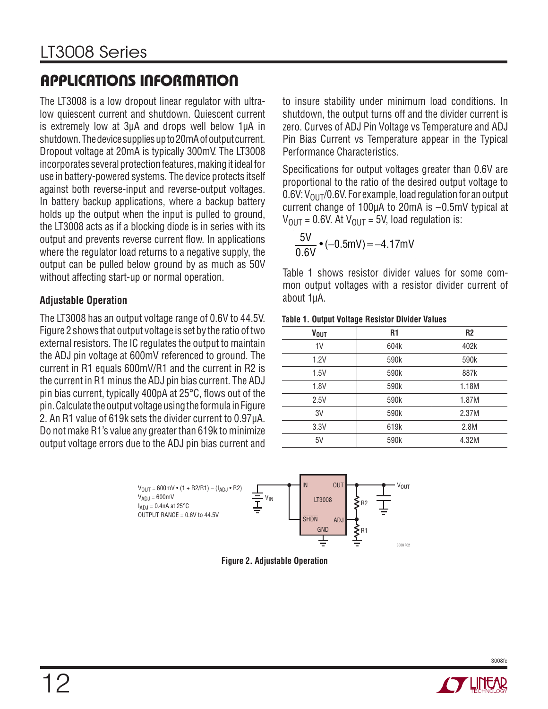The LT3008 is a low dropout linear regulator with ultralow quiescent current and shutdown. Quiescent current is extremely low at 3μA and drops well below 1μA in shutdown. The device supplies up to 20mA of output current. Dropout voltage at 20mA is typically 300mV. The LT3008 incorporates several protection features, making it ideal for use in battery-powered systems. The device protects itself against both reverse-input and reverse-output voltages. In battery backup applications, where a backup battery holds up the output when the input is pulled to ground, the LT3008 acts as if a blocking diode is in series with its output and prevents reverse current flow. In applications where the regulator load returns to a negative supply, the output can be pulled below ground by as much as 50V without affecting start-up or normal operation.

### **Adjustable Operation**

The LT3008 has an output voltage range of 0.6V to 44.5V. Figure 2 shows that output voltage is set by the ratio of two external resistors. The IC regulates the output to maintain the ADJ pin voltage at 600mV referenced to ground. The current in R1 equals 600mV/R1 and the current in R2 is the current in R1 minus the ADJ pin bias current. The ADJ pin bias current, typically 400pA at  $25^{\circ}$ C, flows out of the pin. Calculate the output voltage using the formula in Figure 2. An R1 value of 619k sets the divider current to 0.97μA. Do not make R1's value any greater than 619k to minimize output voltage errors due to the ADJ pin bias current and to insure stability under minimum load conditions. In shutdown, the output turns off and the divider current is zero. Curves of ADJ Pin Voltage vs Temperature and ADJ Pin Bias Current vs Temperature appear in the Typical Performance Characteristics.

Specifications for output voltages greater than 0.6V are proportional to the ratio of the desired output voltage to 0.6V:  $V_{\text{OUT}}$ /0.6V. For example, load regulation for an output current change of 100μA to 20mA is –0.5mV typical at  $V_{\text{OUT}} = 0.6V$ . At  $V_{\text{OUT}} = 5V$ , load regulation is:

$$
\frac{5V}{0.6V} \cdot (-0.5mV) = -4.17mV
$$

Table 1 shows resistor divider values for some common output voltages with a resistor divider current of about 1μA.

#### **Table 1. Output Voltage Resistor Divider Values**

| <b>VOUT</b>    | R <sub>1</sub> | <b>R2</b> |
|----------------|----------------|-----------|
| 1 <sup>V</sup> | 604k           | 402k      |
| 1.2V           | 590k           | 590k      |
| 1.5V           | 590k           | 887k      |
| 1.8V           | 590k           | 1.18M     |
| 2.5V           | 590k           | 1.87M     |
| 3V             | 590k           | 2.37M     |
| 3.3V           | 619k           | 2.8M      |
| 5V             | 590k           | 4.32M     |



**Figure 2. Adjustable Operation**

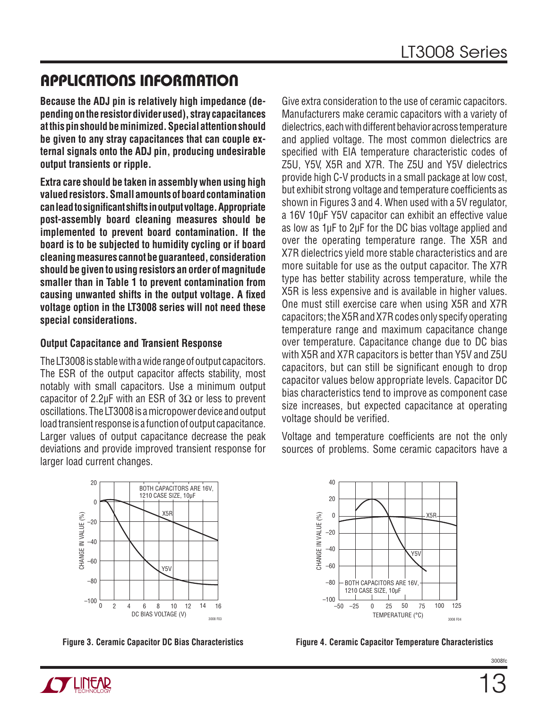**Because the ADJ pin is relatively high impedance (depending on the resistor divider used), stray capacitances at this pin should be minimized. Special attention should be given to any stray capacitances that can couple external signals onto the ADJ pin, producing undesirable output transients or ripple.**

**Extra care should be taken in assembly when using high valued resistors. Small amounts of board contamination can lead to signifi cant shifts in output voltage. Appropriate post-assembly board cleaning measures should be implemented to prevent board contamination. If the board is to be subjected to humidity cycling or if board cleaning measures cannot be guaranteed, consideration should be given to using resistors an order of magnitude smaller than in Table 1 to prevent contamination from**  causing unwanted shifts in the output voltage. A fixed **voltage option in the LT3008 series will not need these special considerations.**

### **Output Capacitance and Transient Response**

The LT3008 is stable with a wide range of output capacitors. The ESR of the output capacitor affects stability, most notably with small capacitors. Use a minimum output capacitor of 2.2μF with an ESR of  $3\Omega$  or less to prevent oscillations. The LT3008 is a micropower device and output load transient response is a function of output capacitance. Larger values of output capacitance decrease the peak deviations and provide improved transient response for larger load current changes.

Give extra consideration to the use of ceramic capacitors. Manufacturers make ceramic capacitors with a variety of dielectrics, each with different behavior across temperature and applied voltage. The most common dielectrics are specified with EIA temperature characteristic codes of Z5U, Y5V, X5R and X7R. The Z5U and Y5V dielectrics provide high C-V products in a small package at low cost, but exhibit strong voltage and temperature coefficients as shown in Figures 3 and 4. When used with a 5V regulator, a 16V 10μF Y5V capacitor can exhibit an effective value as low as 1μF to 2μF for the DC bias voltage applied and over the operating temperature range. The X5R and X7R dielectrics yield more stable characteristics and are more suitable for use as the output capacitor. The X7R type has better stability across temperature, while the X5R is less expensive and is available in higher values. One must still exercise care when using X5R and X7R capacitors; the X5R and X7R codes only specify operating temperature range and maximum capacitance change over temperature. Capacitance change due to DC bias with X5R and X7R capacitors is better than Y5V and Z5U capacitors, but can still be significant enough to drop capacitor values below appropriate levels. Capacitor DC bias characteristics tend to improve as component case size increases, but expected capacitance at operating voltage should be verified.

Voltage and temperature coefficients are not the only sources of problems. Some ceramic capacitors have a





**Figure 3. Ceramic Capacitor DC Bias Characteristics Figure 4. Ceramic Capacitor Temperature Characteristics**

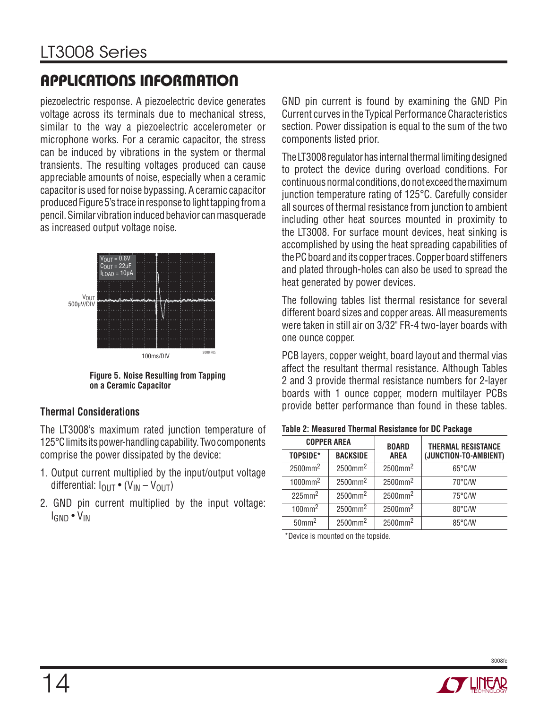piezoelectric response. A piezoelectric device generates voltage across its terminals due to mechanical stress, similar to the way a piezoelectric accelerometer or microphone works. For a ceramic capacitor, the stress can be induced by vibrations in the system or thermal transients. The resulting voltages produced can cause appreciable amounts of noise, especially when a ceramic capacitor is used for noise bypassing. A ceramic capacitor produced Figure 5's trace in response to light tapping from a pencil. Similar vibration induced behavior can masquerade as increased output voltage noise.



**Figure 5. Noise Resulting from Tapping on a Ceramic Capacitor**

### **Thermal Considerations**

The LT3008's maximum rated junction temperature of 125°C limits its power-handling capability. Two components comprise the power dissipated by the device:

- 1. Output current multiplied by the input/output voltage differential:  $I_{OUT}$  • ( $V_{IN} - V_{OUT}$ )
- 2. GND pin current multiplied by the input voltage: IGND • VIN

GND pin current is found by examining the GND Pin Current curves in the Typical Performance Characteristics section. Power dissipation is equal to the sum of the two components listed prior.

The LT3008 regulator has internal thermal limiting designed to protect the device during overload conditions. For continuous normal conditions, do not exceed the maximum junction temperature rating of 125°C. Carefully consider all sources of thermal resistance from junction to ambient including other heat sources mounted in proximity to the LT3008. For surface mount devices, heat sinking is accomplished by using the heat spreading capabilities of the PC board and its copper traces. Copper board stiffeners and plated through-holes can also be used to spread the heat generated by power devices.

The following tables list thermal resistance for several different board sizes and copper areas. All measurements were taken in still air on 3/32" FR-4 two-layer boards with one ounce copper.

PCB layers, copper weight, board layout and thermal vias affect the resultant thermal resistance. Although Tables 2 and 3 provide thermal resistance numbers for 2-layer boards with 1 ounce copper, modern multilayer PCBs provide better performance than found in these tables.

| Table 2: Measured Thermal Resistance for DC Package |  |  |
|-----------------------------------------------------|--|--|
|-----------------------------------------------------|--|--|

|                        | <b>COPPER AREA</b>     |                             | <b>THERMAL RESISTANCE</b> |
|------------------------|------------------------|-----------------------------|---------------------------|
| TOPSIDE*               | <b>BACKSIDE</b>        | <b>BOARD</b><br><b>AREA</b> | (JUNCTION-TO-AMBIENT)     |
| $2500$ mm <sup>2</sup> | 2500mm <sup>2</sup>    | $2500$ mm <sup>2</sup>      | $65^{\circ}$ C/W          |
| $1000$ mm <sup>2</sup> | $2500$ mm <sup>2</sup> | 2500mm <sup>2</sup>         | $70^{\circ}$ C/W          |
| $225$ mm <sup>2</sup>  | $2500$ mm <sup>2</sup> | 2500mm <sup>2</sup>         | $75^{\circ}$ C/W          |
| $100$ mm <sup>2</sup>  | 2500mm <sup>2</sup>    | 2500mm <sup>2</sup>         | 80°C/W                    |
| $50$ mm $^2$           | 2500mm <sup>2</sup>    | 2500mm <sup>2</sup>         | 85°C/W                    |

\*Device is mounted on the topside.

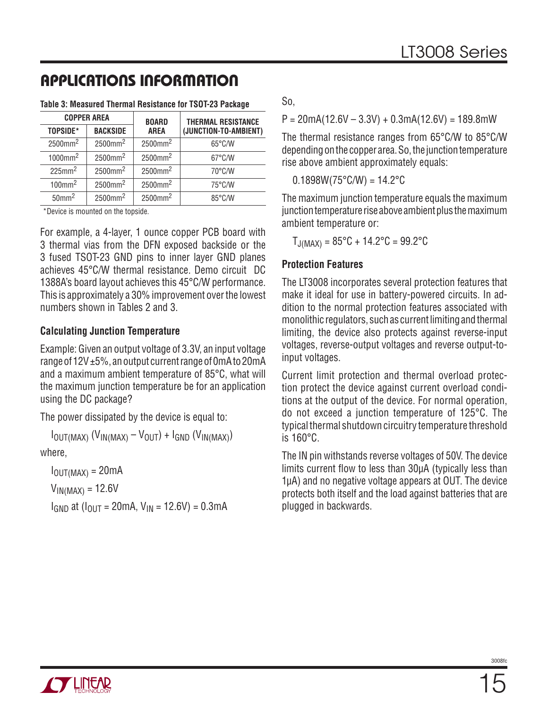|                        | <b>COPPER AREA</b>     |                        | <b>THERMAL RESISTANCE</b> |
|------------------------|------------------------|------------------------|---------------------------|
| TOPSIDE*               | <b>BACKSIDE</b>        | <b>AREA</b>            | (JUNCTION-TO-AMBIENT)     |
| $2500$ mm <sup>2</sup> | 2500mm <sup>2</sup>    | $2500$ mm <sup>2</sup> | $65^{\circ}$ C/W          |
| $1000$ mm <sup>2</sup> | $2500$ mm <sup>2</sup> | 2500mm <sup>2</sup>    | $67^{\circ}$ C/W          |
| $225$ mm <sup>2</sup>  | 2500mm <sup>2</sup>    | 2500mm <sup>2</sup>    | 70°C/W                    |
| $100$ mm <sup>2</sup>  | $2500$ mm <sup>2</sup> | 2500mm <sup>2</sup>    | 75°C/W                    |
| $50$ mm <sup>2</sup>   | $2500$ mm <sup>2</sup> | 2500mm <sup>2</sup>    | 85°C/W                    |

#### **Table 3: Measured Thermal Resistance for TSOT-23 Package**

\*Device is mounted on the topside.

For example, a 4-layer, 1 ounce copper PCB board with 3 thermal vias from the DFN exposed backside or the 3 fused TSOT-23 GND pins to inner layer GND planes achieves 45°C/W thermal resistance. Demo circuit DC 1388A's board layout achieves this 45°C/W performance. This is approximately a 30% improvement over the lowest numbers shown in Tables 2 and 3.

### **Calculating Junction Temperature**

Example: Given an output voltage of 3.3V, an input voltage range of 12V ±5%, an output current range of 0mA to 20mA and a maximum ambient temperature of 85°C, what will the maximum junction temperature be for an application using the DC package?

The power dissipated by the device is equal to:

 $I_{\text{OUT}(MAX)}$  ( $V_{\text{IN}(MAX)} - V_{\text{OUT}}$ ) +  $I_{\text{GND}}$  ( $V_{\text{IN}(MAX)}$ )

where,

 $I_{OUT(MAX)} = 20mA$ 

 $V_{IN(MAX)} = 12.6V$ 

 $I_{GND}$  at  $(I_{OUT} = 20mA, V_{IN} = 12.6V) = 0.3mA$ 

So,

 $P = 20mA(12.6V - 3.3V) + 0.3mA(12.6V) = 189.8mW$ 

The thermal resistance ranges from 65°C/W to 85°C/W depending on the copper area. So, the junction temperature rise above ambient approximately equals:

 $0.1898W(75^{\circ}$ C/W) = 14.2 $^{\circ}$ C

The maximum junction temperature equals the maximum junction temperature rise above ambient plus the maximum ambient temperature or:

 $T_{\text{J}(MAX)} = 85^{\circ}C + 14.2^{\circ}C = 99.2^{\circ}C$ 

### **Protection Features**

The LT3008 incorporates several protection features that make it ideal for use in battery-powered circuits. In addition to the normal protection features associated with monolithic regulators, such as current limiting and thermal limiting, the device also protects against reverse-input voltages, reverse-output voltages and reverse output-toinput voltages.

Current limit protection and thermal overload protection protect the device against current overload conditions at the output of the device. For normal operation, do not exceed a junction temperature of 125°C. The typical thermal shutdown circuitry temperature threshold is 160°C.

The IN pin withstands reverse voltages of 50V. The device limits current flow to less than 30µA (typically less than 1μA) and no negative voltage appears at OUT. The device protects both itself and the load against batteries that are plugged in backwards.

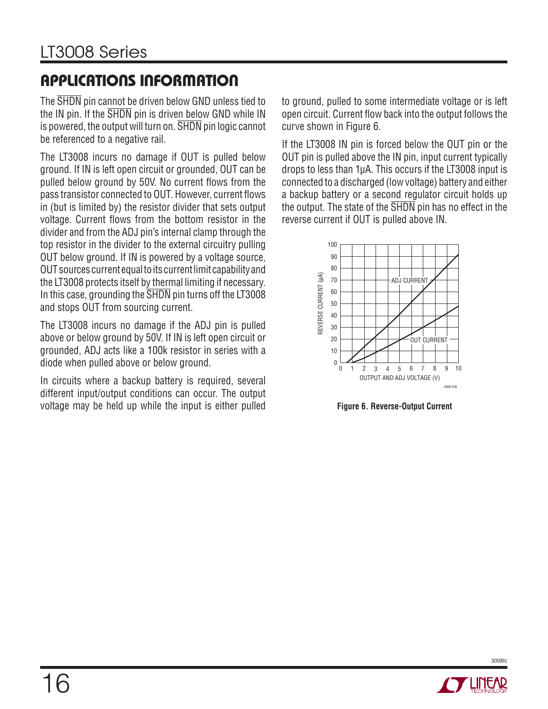The SHDN pin cannot be driven below GND unless tied to the IN pin. If the  $\overline{\text{SHDN}}$  pin is driven below GND while IN is powered, the output will turn on. SHDN pin logic cannot be referenced to a negative rail.

The LT3008 incurs no damage if OUT is pulled below ground. If IN is left open circuit or grounded, OUT can be pulled below ground by 50V. No current flows from the pass transistor connected to OUT. However, current flows in (but is limited by) the resistor divider that sets output voltage. Current flows from the bottom resistor in the divider and from the ADJ pin's internal clamp through the top resistor in the divider to the external circuitry pulling OUT below ground. If IN is powered by a voltage source, OUT sources current equal to its current limit capability and the LT3008 protects itself by thermal limiting if necessary. In this case, grounding the SHDN pin turns off the LT3008 and stops OUT from sourcing current.

The LT3008 incurs no damage if the ADJ pin is pulled above or below ground by 50V. If IN is left open circuit or grounded, ADJ acts like a 100k resistor in series with a diode when pulled above or below ground.

In circuits where a backup battery is required, several different input/output conditions can occur. The output voltage may be held up while the input is either pulled

to ground, pulled to some intermediate voltage or is left open circuit. Current flow back into the output follows the curve shown in Figure 6.

If the LT3008 IN pin is forced below the OUT pin or the OUT pin is pulled above the IN pin, input current typically drops to less than 1μA. This occurs if the LT3008 input is connected to a discharged (low voltage) battery and either a backup battery or a second regulator circuit holds up the output. The state of the SHDN pin has no effect in the reverse current if OUT is pulled above IN.



**Figure 6. Reverse-Output Current**

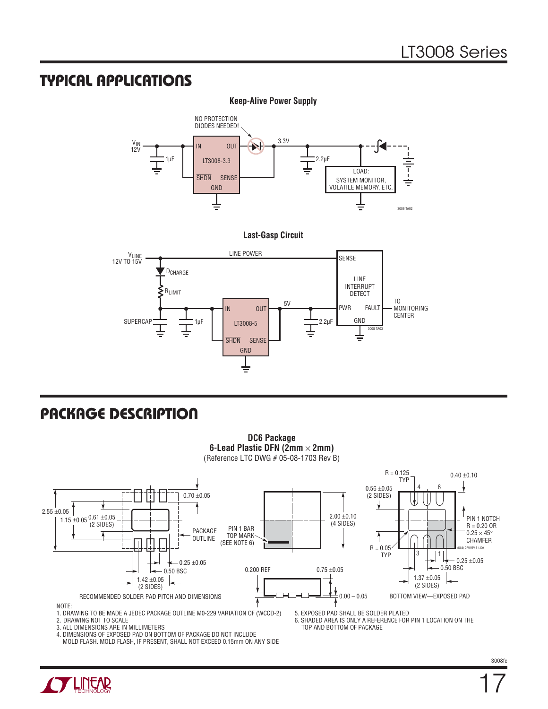### **TYPICAL APPLICATIONS**



**Last-Gasp Circuit**



### **PACKAGE DESCRIPTION**



1. DRAWING TO BE MADE A JEDEC PACKAGE OUTLINE M0-229 VARIATION OF (WCCD-2) 2. DRAWING NOT TO SCALE

3. ALL DIMENSIONS ARE IN MILLIMETERS

4. DIMENSIONS OF EXPOSED PAD ON BOTTOM OF PACKAGE DO NOT INCLUDE MOLD FLASH. MOLD FLASH, IF PRESENT, SHALL NOT EXCEED 0.15mm ON ANY SIDE 5. EXPOSED PAD SHALL BE SOLDER PLATED

6. SHADED AREA IS ONLY A REFERENCE FOR PIN 1 LOCATION ON THE TOP AND BOTTOM OF PACKAGE

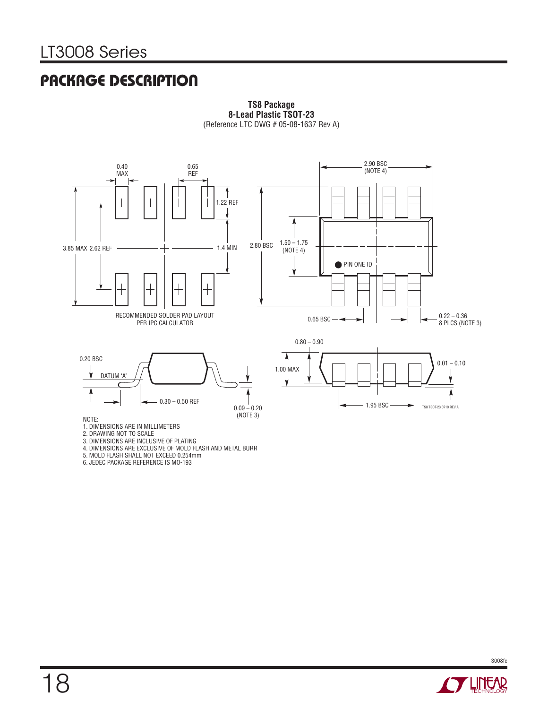### **PACKAGE DESCRIPTION**



**TS8 Package 8-Lead Plastic TSOT-23** (Reference LTC DWG # 05-08-1637 Rev A)

5. MOLD FLASH SHALL NOT EXCEED 0.254mm

6. JEDEC PACKAGE REFERENCE IS MO-193

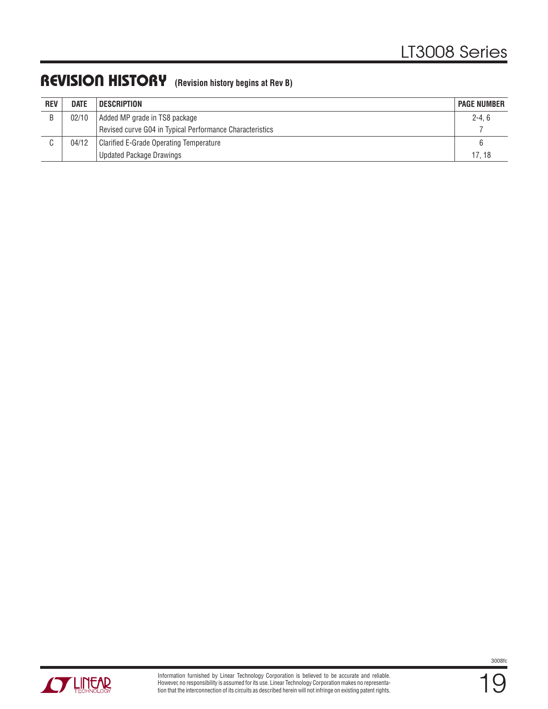### **REVISION HISTORY (Revision history begins at Rev B)**

| <b>REV</b> | <b>DATE</b> | <b>DESCRIPTION</b>                                       | <b>PAGE NUMBER</b> |  |
|------------|-------------|----------------------------------------------------------|--------------------|--|
| B          | 02/10       | Added MP grade in TS8 package                            |                    |  |
|            |             | Revised curve G04 in Typical Performance Characteristics |                    |  |
|            | 04/12       | Clarified E-Grade Operating Temperature                  |                    |  |
|            |             | <b>Updated Package Drawings</b>                          | 17.18              |  |



19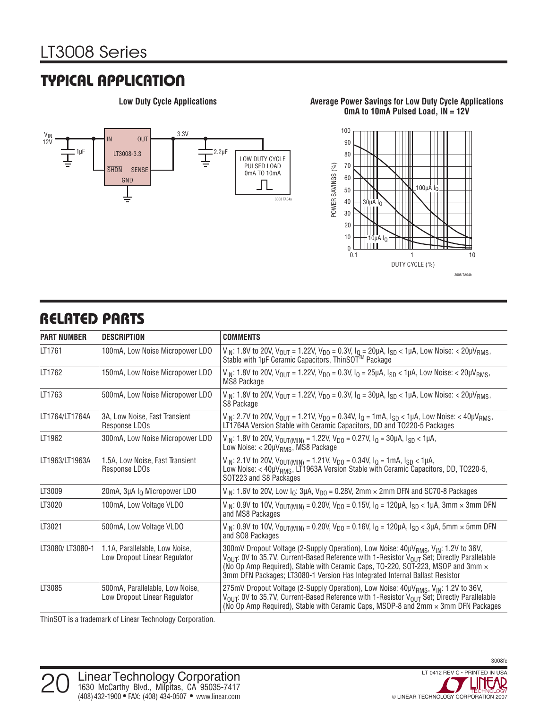### **TYPICAL APPLICATION**



#### **Low Duty Cycle Applications Average Power Savings for Low Duty Cycle Applications 0mA to 10mA Pulsed Load, IN = 12V**



### **RELATED PARTS**

| <b>PART NUMBER</b> | <b>DESCRIPTION</b>                                                                                                                                                                                                         | <b>COMMENTS</b>                                                                                                                                                                                                                                                                                                                                                                                             |  |
|--------------------|----------------------------------------------------------------------------------------------------------------------------------------------------------------------------------------------------------------------------|-------------------------------------------------------------------------------------------------------------------------------------------------------------------------------------------------------------------------------------------------------------------------------------------------------------------------------------------------------------------------------------------------------------|--|
| LT1761             | 100mA, Low Noise Micropower LDO                                                                                                                                                                                            | V <sub>IN</sub> : 1.8V to 20V, V <sub>OUT</sub> = 1.22V, V <sub>DO</sub> = 0.3V, I <sub>Q</sub> = 20µA, I <sub>SD</sub> < 1µA, Low Noise: < 20µV <sub>RMS</sub> ,<br>Stable with 1µF Ceramic Capacitors, ThinSOT <sup>™</sup> Package                                                                                                                                                                       |  |
| LT1762             | 150mA, Low Noise Micropower LDO<br>V <sub>IN</sub> : 1.8V to 20V, V <sub>OUT</sub> = 1.22V, V <sub>DO</sub> = 0.3V, I <sub>Q</sub> = 25µA, I <sub>SD</sub> < 1µA, Low Noise: < 20µV <sub>RMS</sub> ,<br><b>MS8 Package</b> |                                                                                                                                                                                                                                                                                                                                                                                                             |  |
| LT1763             | 500mA, Low Noise Micropower LDO                                                                                                                                                                                            | $V_{IN}$ : 1.8V to 20V, $V_{OUT}$ = 1.22V, $V_{DO}$ = 0.3V, $I_Q$ = 30µA, $I_{SD}$ < 1µA, Low Noise: < 20µ $V_{RMS}$ ,<br>S8 Package                                                                                                                                                                                                                                                                        |  |
| LT1764/LT1764A     | 3A, Low Noise, Fast Transient<br>Response LDOs                                                                                                                                                                             | $V_{IN}$ : 2.7V to 20V, $V_{OUT}$ = 1.21V, $V_{DO}$ = 0.34V, $I_0$ = 1mA, $I_{SD}$ < 1µA, Low Noise: < 40µ $V_{RMS}$ ,<br>LT1764A Version Stable with Ceramic Capacitors, DD and T0220-5 Packages                                                                                                                                                                                                           |  |
| LT1962             | 300mA, Low Noise Micropower LDO                                                                                                                                                                                            | $V_{IN}$ : 1.8V to 20V, $V_{OUT(MIN)}$ = 1.22V, $V_{DO}$ = 0.27V, $I_Q$ = 30µA, $I_{SD}$ < 1µA,<br>Low Noise: $<$ 20 $\mu$ V <sub>RMS</sub> , MS8 Package                                                                                                                                                                                                                                                   |  |
| LT1963/LT1963A     | 1.5A, Low Noise, Fast Transient<br>Response LDOs                                                                                                                                                                           | $V_{IN}$ : 2.1V to 20V, $V_{OUT(MIN)}$ = 1.21V, $V_{D0}$ = 0.34V, $I_0$ = 1mA, $I_{SD}$ < 1µA,<br>Low Noise: $<$ 40µV <sub>RMS</sub> , LT1963A Version Stable with Ceramic Capacitors, DD, TO220-5,<br>SOT223 and S8 Packages                                                                                                                                                                               |  |
| LT3009             | 20mA, 3µA I <sub>O</sub> Micropower LDO                                                                                                                                                                                    | $V_{IN}$ : 1.6V to 20V, Low $I_0$ : 3µA, $V_{DQ}$ = 0.28V, 2mm $\times$ 2mm DFN and SC70-8 Packages                                                                                                                                                                                                                                                                                                         |  |
| LT3020             | 100mA, Low Voltage VLDO                                                                                                                                                                                                    | $V_{IN}$ : 0.9V to 10V, $V_{OUT(MIN)} = 0.20V$ , $V_{DO} = 0.15V$ , $I_Q = 120\mu A$ , $I_{SD} < 1\mu A$ , 3mm $\times$ 3mm DFN<br>and MS8 Packages                                                                                                                                                                                                                                                         |  |
| LT3021             | 500mA, Low Voltage VLDO                                                                                                                                                                                                    | $V_{IN}$ : 0.9V to 10V, $V_{OUT(MIN)} = 0.20V$ , $V_{DO} = 0.16V$ , $I_Q = 120\mu A$ , $I_{SD} < 3\mu A$ , 5mm $\times$ 5mm DFN<br>and SO8 Packages                                                                                                                                                                                                                                                         |  |
| LT3080/LT3080-1    | 1.1A. Parallelable. Low Noise.<br>Low Dropout Linear Regulator                                                                                                                                                             | 300mV Dropout Voltage (2-Supply Operation), Low Noise: 40µV <sub>RMS</sub> , V <sub>IN</sub> : 1.2V to 36V,<br>V <sub>OUT</sub> : OV to 35.7V, Current-Based Reference with 1-Resistor V <sub>OUT</sub> Set; Directly Parallelable<br>(No Op Amp Required), Stable with Ceramic Caps, TO-220, SOT-223, MSOP and 3mm $\times$<br>3mm DFN Packages; LT3080-1 Version Has Integrated Internal Ballast Resistor |  |
| LT3085             | 500mA, Parallelable, Low Noise,<br>Low Dropout Linear Regulator                                                                                                                                                            | 275mV Dropout Voltage (2-Supply Operation), Low Noise: 40µV <sub>RMS</sub> , V <sub>IN</sub> : 1.2V to 36V,<br>V <sub>OUT</sub> : OV to 35.7V, Current-Based Reference with 1-Resistor V <sub>OUT</sub> Set; Directly Parallelable<br>(No Op Amp Required), Stable with Ceramic Caps, MSOP-8 and 2mm x 3mm DFN Packages                                                                                     |  |

ThinSOT is a trademark of Linear Technology Corporation.